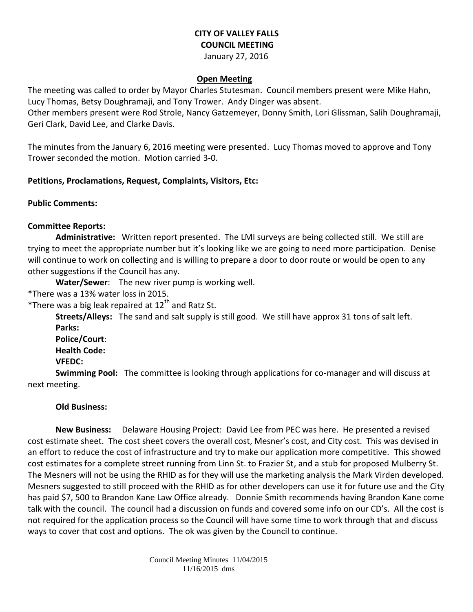# **CITY OF VALLEY FALLS COUNCIL MEETING**

January 27, 2016

#### **Open Meeting**

The meeting was called to order by Mayor Charles Stutesman. Council members present were Mike Hahn, Lucy Thomas, Betsy Doughramaji, and Tony Trower. Andy Dinger was absent.

Other members present were Rod Strole, Nancy Gatzemeyer, Donny Smith, Lori Glissman, Salih Doughramaji, Geri Clark, David Lee, and Clarke Davis.

The minutes from the January 6, 2016 meeting were presented. Lucy Thomas moved to approve and Tony Trower seconded the motion. Motion carried 3-0.

## **Petitions, Proclamations, Request, Complaints, Visitors, Etc:**

**Public Comments:** 

## **Committee Reports:**

**Administrative:** Written report presented. The LMI surveys are being collected still. We still are trying to meet the appropriate number but it's looking like we are going to need more participation. Denise will continue to work on collecting and is willing to prepare a door to door route or would be open to any other suggestions if the Council has any.

**Water/Sewer**: The new river pump is working well.

\*There was a 13% water loss in 2015.

\*There was a big leak repaired at  $12<sup>th</sup>$  and Ratz St.

**Streets/Alleys:** The sand and salt supply is still good. We still have approx 31 tons of salt left. **Parks:** 

**Police/Court**: **Health Code:** 

**VFEDC:** 

**Swimming Pool:** The committee is looking through applications for co-manager and will discuss at next meeting.

## **Old Business:**

**New Business:** Delaware Housing Project: David Lee from PEC was here. He presented a revised cost estimate sheet. The cost sheet covers the overall cost, Mesner's cost, and City cost. This was devised in an effort to reduce the cost of infrastructure and try to make our application more competitive. This showed cost estimates for a complete street running from Linn St. to Frazier St, and a stub for proposed Mulberry St. The Mesners will not be using the RHID as for they will use the marketing analysis the Mark Virden developed. Mesners suggested to still proceed with the RHID as for other developers can use it for future use and the City has paid \$7, 500 to Brandon Kane Law Office already. Donnie Smith recommends having Brandon Kane come talk with the council. The council had a discussion on funds and covered some info on our CD's. All the cost is not required for the application process so the Council will have some time to work through that and discuss ways to cover that cost and options. The ok was given by the Council to continue.